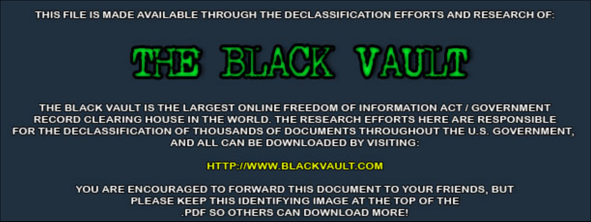THIS FILE IS MADE AVAILABLE THROUGH THE DECLASSIFICATION EFFORTS AND RESEARCH OF:



THE BLACK VAULT IS THE LARGEST ONLINE FREEDOM OF INFORMATION ACT / GOVERNMENT RECORD CLEARING HOUSE IN THE WORLD. THE RESEARCH EFFORTS HERE ARE RESPONSIBLE FOR THE DECLASSIFICATION OF THOUSANDS OF DOCUMENTS THROUGHOUT THE U.S. GOVERNMENT, AND ALL CAN BE DOWNLOADED BY VISITING:

**HTTP://WWW.BLACKVAULT.COM** 

YOU ARE ENCOURAGED TO FORWARD THIS DOCUMENT TO YOUR FRIENDS, BUT PLEASE KEEP THIS IDENTIFYING IMAGE AT THE TOP OF THE PDF SO OTHERS CAN DOWNLOAD MORE!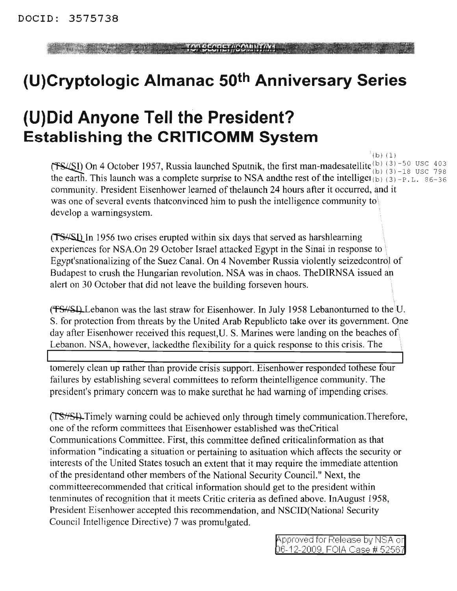## **(U)Cryptologic Almanac 50th Anniversary Series**

## **(U)Did Anyone Tell the President? Establishing the CRITICOMM System**

 $(b) (1)$ **(TS/SI)** On 4 October 1957, Russia launched Sputnik, the first man-madesatellite  $^{(b)}_{(b)}$  (3) -50 USC 403 the earth. This launch was a complete surprise to NSA andthe rest of the intelliger  $\mathcal{L}_{\text{D}}$  (3) -P.L. 86-36 community. President Eisenhower learned of thelaunch 24 hours after it occurred, and it was one of several events that convinced him to push the intelligence community to develop a warningsystem.

(TS<sup>\{II}</sup> In 1956 two crises erupted within six days that served as harshlearning experiences for NSA.On 29 October Israel attacked Egypt in the Sinai in response to • Egypt'snationalizing of the Suez Canal. On 4 November Russia violently seizedcontrol of Budapest to crush the Hungarian revolution. NSA was in chaos. TheDIRNSA issued an alert on 30 October that did not leave the building forseven hours.

 $(T-S/\sqrt{SU(1)})$  Lebanon was the last straw for Eisenhower. In July 1958 Lebanonturned to the U. S. for protection from threats by the United Arab Republicto take over its government. One day after Eisenhower received this request,U. S. Marines were landing on the beaches of Lebanon. NSA, however, lackedthe flexibility for a quick response to this crisis. The

tomerely clean up rather than provide crisis support. Eisenhower responded tothese four failures by establishing several committees to reform theintelligence community. The president's primary concern was to make surethat he had warning of impending crises.

**Example 10.1 Consumer Consumer Consumer** (**Consumer) II Consumer II Example 10.1 Consumer Consumer Consumer Consumer Consumer (Consumer) II Consumer Consumer** (**Consumer) II Consumer (Consumer)** ~Timely warning could be achieved only through timely communication.Therefore, one of the reform committees that Eisenhower established was the Critical Communications Committee. First, this committee defined criticalinformation as that information "indicating a situation or pertaining to asituation which affects the security or interests of the United States tosuch an extent that it may require the immediate attention of the presidentand other members of the National Security Council." Next, the committeerecommended that critical information should get to the president within tenminutes of recognition that it meets Critic criteria as defined above. InAugust 1958, President Eisenhower accepted this recommendation, and NSCID(National Security Council Intelligence Directive) 7 was promulgated.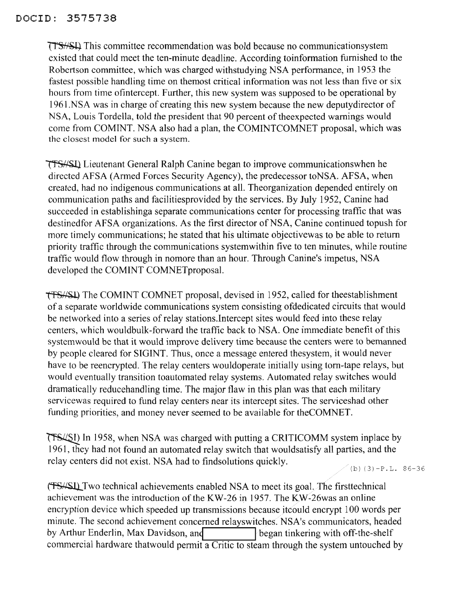**TTS**//SLI, This committee recommendation was bold because no communicationsystem existed that could meet the ten-minute deadline. According toinformation furnished to the Robertson committee, which was charged withstudying NSA performance, in 1953 the fastest possible handling time on themost critical information was not less than five or six hours from time ofintercept. Further, this new system was supposed to be operational by 1961.NSA was in charge of creating this new system because the new deputydirector of NSA, Louis Tordella, told the president that 90 percent of the expected warnings would come from COMINT. NSA also had a plan, the COMINTCOMNET proposal, which was the closest model for such a system.

Lieutenant General Ralph Canine began to improve communicationswhen he directed AFSA (Armed Forces Security Agency), the predecessor toNSA. AFSA, when created, had no indigenous communications at all. Theorganization depended entirely on communication paths and facilitiesprovided by the services. By July 1952, Canine had succeeded in establishinga separate communications center for processing traffic that was destinedfor AFSA organizations. As the first director of NSA, Canine continued topush for more timely communications; he stated that his ultimate objectivewas to be able to return priority traffic through the communications systemwithin five to ten minutes, while routine traffic would flow through in nomore than an hour. Through Canine's impetus, NSA developed the COMINT COMNETproposal.

tfs//SJ.) The COMINT COMNET proposal, devised in 1952, called for theestablishment of a separate worldwide communications system consisting ofdedicated circuits that would be networked into a series of relay stations. Intercept sites would feed into these relay centers, which wouldbulk-forward the traffic back to NSA. One immediate benefit of this systemwould be that it would improve delivery time because the centers were to bemanned by people cleared for SIGINT. Thus, once a message entered thesystem, it would never have to be reencrypted. The relay centers wouldoperate initially using tom-tape relays, but would eventually transition toautomated relay systems. Automated relay switches would dramatically reducehandling time. The major flaw in this plan was that each military servicewas required to fund relay centers near its intercept sites. The serviceshad other funding priorities, and money never seemed to be available for theCOMNET.

**ITS/SI)** In 1958, when NSA was charged with putting a CRITICOMM system inplace by 1961, they had not found an automated relay switch that wouldsatisfy all parties, and the relay centers did not exist. NSA had to findsolutions quickly.

(b)  $(3)-P.L. 86-36$ 

~Two technical achievements enabled NSA to meet its goaLThe firsttechnical achievement was the introduction of the KW-26 in 1957. The KW-26was an online encryption device which speeded up transmissions because itcould encrypt 100 words per minute. The second achievement concerned relayswitches. NSA's communicators, headed<br>by Arthur Enderlin, Max Davidson, and **the shelf** began tinkering with off-the-shelf commercial hardware thatwould permit a Critic to steam through the system untouched by